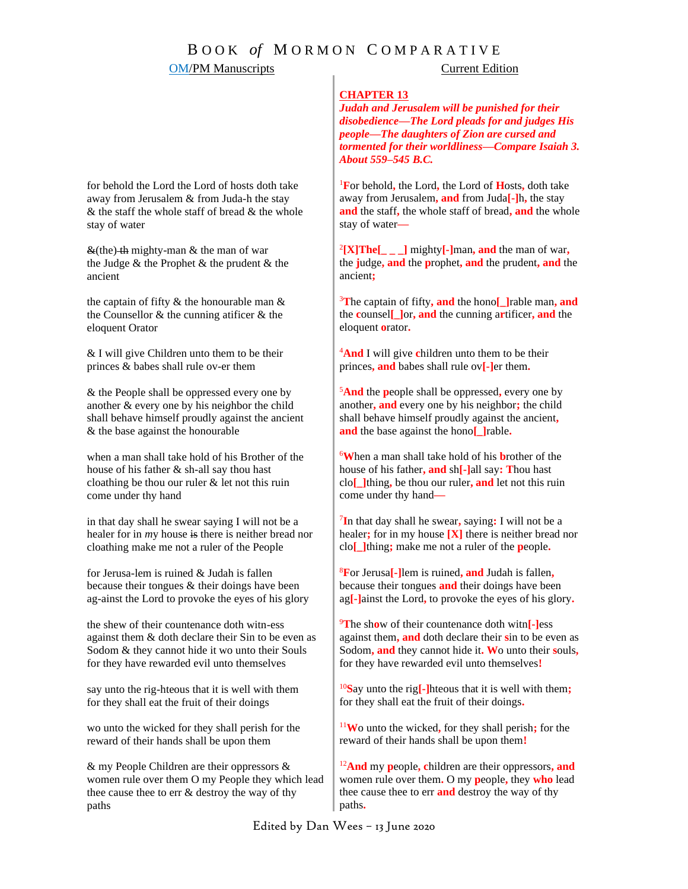# B O O K *of* M O R M O N C O M P A R A T I V E

## **OM/PM Manuscripts** Current Edition

### **CHAPTER 13**

*Judah and Jerusalem will be punished for their disobedience—The Lord pleads for and judges His people—The daughters of Zion are cursed and tormented for their worldliness—Compare Isaiah 3. About 559–545 B.C.*

<sup>1</sup>**F**or behold**,** the Lord**,** the Lord of **H**osts**,** doth take away from Jerusalem**, and** from Juda**[-]**h**,** the stay **and** the staff**,** the whole staff of bread**, and** the whole stay of water**—**

2 **[X]The[\_ \_ \_]** mighty**[-]**man**, and** the man of war**,** the **j**udge**, and** the **p**rophet**, and** the prudent**, and** the ancient**;**

<sup>3</sup>**T**he captain of fifty**, and** the hono**[\_]**rable man**, and** the **c**ounsel**[\_]**or**, and** the cunning a**r**tificer**, and** the eloquent **o**rator**.**

<sup>4</sup>**And** I will give **c**hildren unto them to be their princes**, and** babes shall rule ov**[-]**er them**.**

<sup>5</sup>**And** the **p**eople shall be oppressed**,** every one by another**, and** every one by his neighbor**;** the child shall behave himself proudly against the ancient**, and** the base against the hono**[\_]**rable**.**

<sup>6</sup>**W**hen a man shall take hold of his **b**rother of the house of his father**, and** sh**[-]**all say**: T**hou hast clo**[\_]**thing**,** be thou our ruler**, and** let not this ruin come under thy hand**—**

7 **I**n that day shall he swear**,** saying**:** I will not be a healer**;** for in my house **[X]** there is neither bread nor clo**[\_]**thing**;** make me not a ruler of the **p**eople**.**

<sup>8</sup>**F**or Jerusa**[-]**lem is ruined**, and** Judah is fallen**,** because their tongues **and** their doings have been ag**[-]**ainst the Lord**,** to provoke the eyes of his glory**.**

<sup>9</sup>**T**he sh**o**w of their countenance doth witn**[-]**ess against them**, and** doth declare their **s**in to be even as Sodom**, and** they cannot hide it**. W**o unto their **s**ouls**,** for they have rewarded evil unto themselves**!**

<sup>10</sup>**S**ay unto the rig**[-]**hteous that it is well with them**;** for they shall eat the fruit of their doings**.**

<sup>11</sup>**W**o unto the wicked**,** for they shall perish**;** for the reward of their hands shall be upon them**!**

<sup>12</sup>**And** my **p**eople**, c**hildren are their oppressors**, and**  women rule over them**.** O my **p**eople**,** they **who** lead thee cause thee to err **and** destroy the way of thy paths**.**

for behold the Lord the Lord of hosts doth take away from Jerusalem & from Juda-h the stay  $&$  the staff the whole staff of bread  $&$  the whole stay of water

 $\&$ (the) the mighty-man  $&$  the man of war the Judge & the Prophet & the prudent & the ancient

the captain of fifty  $\&$  the honourable man  $\&$ the Counsellor & the cunning atificer & the eloquent Orator

& I will give Children unto them to be their princes & babes shall rule ov-er them

& the People shall be oppressed every one by another & every one by his nei*g*hbor the child shall behave himself proudly against the ancient & the base against the honourable

when a man shall take hold of his Brother of the house of his father & sh-all say thou hast cloathing be thou our ruler & let not this ruin come under thy hand

in that day shall he swear saying I will not be a healer for in *my* house is there is neither bread nor cloathing make me not a ruler of the People

for Jerusa-lem is ruined & Judah is fallen because their tongues & their doings have been ag-ainst the Lord to provoke the eyes of his glory

the shew of their countenance doth witn-ess against them & doth declare their Sin to be even as Sodom & they cannot hide it wo unto their Souls for they have rewarded evil unto themselves

say unto the rig-hteous that it is well with them for they shall eat the fruit of their doings

wo unto the wicked for they shall perish for the reward of their hands shall be upon them

& my People Children are their oppressors & women rule over them O my People they which lead thee cause thee to err & destroy the way of thy paths

Edited by Dan Wees – 13 June 2020